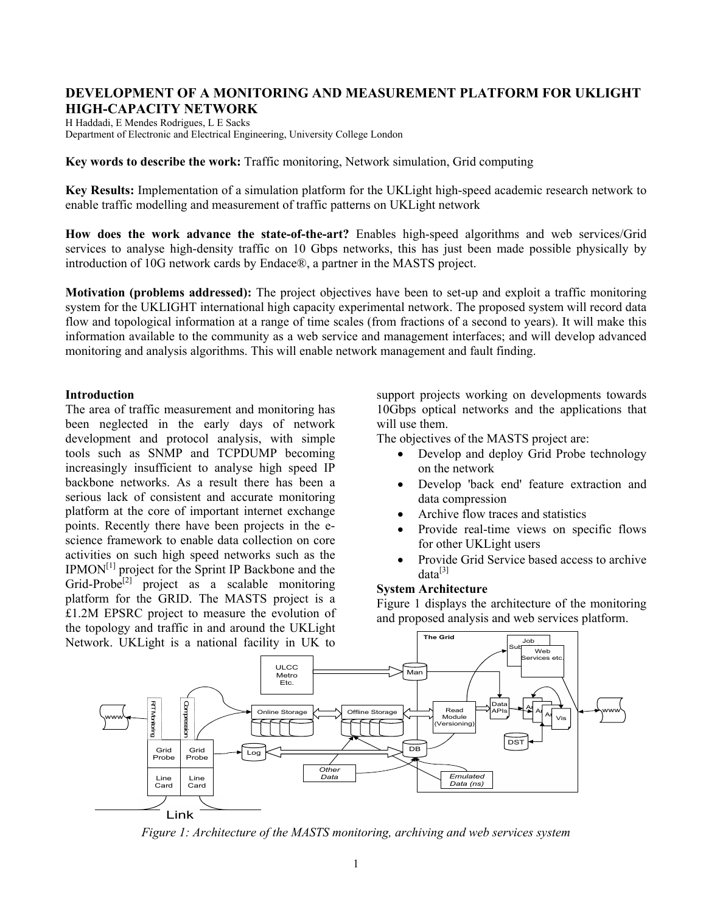# **DEVELOPMENT OF A MONITORING AND MEASUREMENT PLATFORM FOR UKLIGHT HIGH-CAPACITY NETWORK**

H Haddadi, E Mendes Rodrigues, L E Sacks Department of Electronic and Electrical Engineering, University College London

**Key words to describe the work:** Traffic monitoring, Network simulation, Grid computing

**Key Results:** Implementation of a simulation platform for the UKLight high-speed academic research network to enable traffic modelling and measurement of traffic patterns on UKLight network

**How does the work advance the state-of-the-art?** Enables high-speed algorithms and web services/Grid services to analyse high-density traffic on 10 Gbps networks, this has just been made possible physically by introduction of 10G network cards by Endace®, a partner in the MASTS project.

**Motivation (problems addressed):** The project objectives have been to set-up and exploit a traffic monitoring system for the UKLIGHT international high capacity experimental network. The proposed system will record data flow and topological information at a range of time scales (from fractions of a second to years). It will make this information available to the community as a web service and management interfaces; and will develop advanced monitoring and analysis algorithms. This will enable network management and fault finding.

## **Introduction**

The area of traffic measurement and monitoring has been neglected in the early days of network development and protocol analysis, with simple tools such as SNMP and TCPDUMP becoming increasingly insufficient to analyse high speed IP backbone networks. As a result there has been a serious lack of consistent and accurate monitoring platform at the core of important internet exchange points. Recently there have been projects in the escience framework to enable data collection on core activities on such high speed networks such as the  $IPMON<sup>[1]</sup>$  project for the Sprint IP Backbone and the Grid-Probe<sup>[2]</sup> project as a scalable monitoring platform for the GRID. The MASTS project is a £1.2M EPSRC project to measure the evolution of the topology and traffic in and around the UKLight Network. UKLight is a national facility in UK to

support projects working on developments towards 10Gbps optical networks and the applications that will use them.

The objectives of the MASTS project are:

- Develop and deploy Grid Probe technology on the network
- Develop 'back end' feature extraction and data compression
- Archive flow traces and statistics
- Provide real-time views on specific flows for other UKLight users
- Provide Grid Service based access to archive  $data^{[3]}$

# **System Architecture**

Figure 1 displays the architecture of the monitoring and proposed analysis and web services platform.



*Figure 1: Architecture of the MASTS monitoring, archiving and web services system*